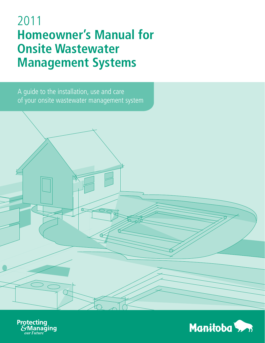# 2011 **Homeowner's Manual for Onsite Wastewater Management Systems**

A guide to the installation, use and care of your onsite wastewater management system

 $\sigma$ 



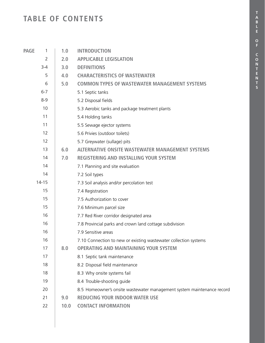**S**

### **TABLE OF CONTENTS**

| <b>PAGE</b><br>1 | 1.0  | <b>INTRODUCTION</b>                                                    |  |
|------------------|------|------------------------------------------------------------------------|--|
| $\overline{2}$   | 2.0  | <b>APPLICABLE LEGISLATION</b>                                          |  |
| $3 - 4$          | 3.0  | <b>DEFINITIONS</b>                                                     |  |
| 5                | 4.0  | <b>CHARACTERISTICS OF WASTEWATER</b>                                   |  |
| 6                | 5.0  | <b>COMMON TYPES OF WASTEWATER MANAGEMENT SYSTEMS</b>                   |  |
| $6 - 7$          |      | 5.1 Septic tanks                                                       |  |
| $8 - 9$          |      | 5.2 Disposal fields                                                    |  |
| 10               |      | 5.3 Aerobic tanks and package treatment plants                         |  |
| 11               |      | 5.4 Holding tanks                                                      |  |
| 11               |      | 5.5 Sewage ejector systems                                             |  |
| 12               |      | 5.6 Privies (outdoor toilets)                                          |  |
| 12               |      | 5.7 Greywater (sullage) pits                                           |  |
| 13               | 6.0  | <b>ALTERNATIVE ONSITE WASTEWATER MANAGEMENT SYSTEMS</b>                |  |
| 14               | 7.0  | <b>REGISTERING AND INSTALLING YOUR SYSTEM</b>                          |  |
| 14               |      | 7.1 Planning and site evaluation                                       |  |
| 14               |      | 7.2 Soil types                                                         |  |
| $14 - 15$        |      | 7.3 Soil analysis and/or percolation test                              |  |
| 15               |      | 7.4 Registration                                                       |  |
| 15               |      | 7.5 Authorization to cover                                             |  |
| 15               |      | 7.6 Minimum parcel size                                                |  |
| 16               |      | 7.7 Red River corridor designated area                                 |  |
| 16               |      | 7.8 Provincial parks and crown land cottage subdivision                |  |
| 16               |      | 7.9 Sensitive areas                                                    |  |
| 16               |      | 7.10 Connection to new or existing wastewater collection systems       |  |
| 17               | 8.0  | <b>OPERATING AND MAINTAINING YOUR SYSTEM</b>                           |  |
| 17               |      | 8.1 Septic tank maintenance                                            |  |
| 18               |      | 8.2 Disposal field maintenance                                         |  |
| 18               |      | 8.3 Why onsite systems fail                                            |  |
| 19               |      | 8.4 Trouble-shooting guide                                             |  |
| 20               |      | 8.5 Homeowner's onsite wastewater management system maintenance record |  |
| 21               | 9.0  | <b>REDUCING YOUR INDOOR WATER USE</b>                                  |  |
| 22               | 10.0 | <b>CONTACT INFORMATION</b>                                             |  |
|                  |      |                                                                        |  |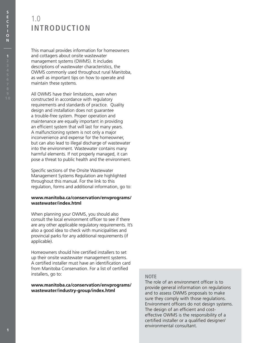### 1.0 **INTRODUCTION**

This manual provides information for homeowners and cottagers about onsite wastewater management systems (OWMS). It includes descriptions of wastewater characteristics, the OWMS commonly used throughout rural Manitoba, as well as important tips on how to operate and maintain these systems.

All OWMS have their limitations, even when constructed in accordance with regulatory requirements and standards of practice. Quality design and installation does not guarantee a trouble-free system. Proper operation and maintenance are equally important in providing an efficient system that will last for many years. A malfunctioning system is not only a major inconvenience and expense for the homeowner, but can also lead to illegal discharge of wastewater into the environment. Wastewater contains many harmful elements. If not properly managed, it can pose a threat to public health and the environment.

Specific sections of the Onsite Wastewater Management Systems Regulation are highlighted throughout this manual. For the link to this regulation, forms and additional information, go to:

#### **www.manitoba.ca/conservation/envprograms/ wastewater/index.html**

When planning your OWMS, you should also consult the local environment officer to see if there are any other applicable regulatory requirements. It's also a good idea to check with municipalities and provincial parks for any additional requirements (if applicable).

Homeowners should hire certified installers to set up their onsite wastewater management systems. A certified installer must have an identification card from Manitoba Conservation. For a list of certified installers, go to:

#### **www.manitoba.ca/conservation/envprograms/ wastewater/industry-group/index.html**

#### **NOTE**

The role of an environment officer is to provide general information on regulations and to assess OWMS proposals to make sure they comply with those regulations. Environment officers do not design systems. The design of an efficient and costeffective OWMS is the responsibility of a certified installer or a qualified designer/ environmental consultant.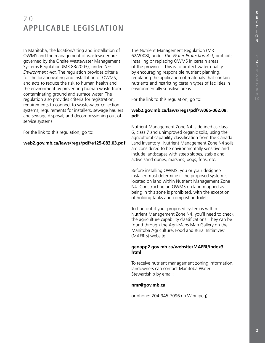**S E C**

### 2.0 **APPLICABLE LEGISLATION**

In Manitoba, the location/siting and installation of OWMS and the management of wastewater are governed by the Onsite Wastewater Management Systems Regulation (MR 83/2003), under *The Environment Act*. The regulation provides criteria for the location/siting and installation of OWMS, and acts to reduce the risk to human health and the environment by preventing human waste from contaminating ground and surface water. The regulation also provides criteria for registration; requirements to connect to wastewater collection systems; requirements for installers, sewage haulers and sewage disposal; and decommissioning out-ofservice systems.

For the link to this regulation, go to:

#### **web2.gov.mb.ca/laws/regs/pdf/e125-083.03.pdf**

The Nutrient Management Regulation (MR 62/2008), under *The Water Protection Act*, prohibits installing or replacing OWMS in certain areas of the province. This is to protect water quality by encouraging responsible nutrient planning, regulating the application of materials that contain nutrients and restricting certain types of facilities in environmentally sensitive areas.

For the link to this regulation, go to:

#### **web2.gov.mb.ca/laws/regs/pdf/w065-062.08. pdf**

Nutrient Management Zone N4 is defined as class 6, class 7 and unimproved organic soils, using the agricultural capability classification from the Canada Land Inventory. Nutrient Management Zone N4 soils are considered to be environmentally sensitive and include landscapes with steep slopes, stable and active sand dunes, marshes, bogs, fens, etc.

Before installing OWMS, you or your designer/ installer must determine if the proposed system is located on land within Nutrient Management Zone N4. Constructing an OWMS on land mapped as being in this zone is prohibited, with the exception of holding tanks and composting toilets.

To find out if your proposed system is within Nutrient Management Zone N4, you'll need to check the agriculture capability classifications. They can be found through the Agri-Maps Map Gallery on the Manitoba Agriculture, Food and Rural Initiatives' (MAFRI's) website:

#### **geoapp2.gov.mb.ca/website/MAFRI/index3. html**

To receive nutrient management zoning information, landowners can contact Manitoba Water Stewardship by email:

#### **nmr@gov.mb.ca**

or phone: 204-945-7096 (in Winnipeg).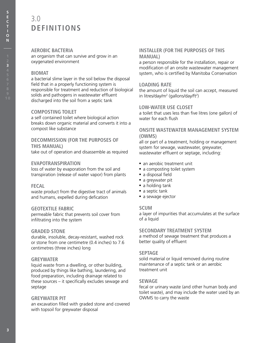### 3.0 **DEFINITIONS**

#### **AEROBIC BACTERIA**

an organism that can survive and grow in an oxygenated environment

#### **biomat**

a bacterial slime layer in the soil below the disposal field that in a properly functioning system is responsible for treatment and reduction of biological solids and pathogens in wastewater effluent discharged into the soil from a septic tank

#### **composting toilet**

a self contained toilet where biological action breaks down organic material and converts it into a compost like substance

#### **decommission (for the purposes of this manual)**

take out of operation and disassemble as required

#### **evapotranspiration**

loss of water by evaporation from the soil and transpiration (release of water vapor) from plants

#### **fecal**

waste product from the digestive tract of animals and humans, expelled during defication

#### **geotextile fabric**

permeable fabric that prevents soil cover from infiltrating into the system

#### **graded stone**

durable, insoluble, decay-resistant, washed rock or stone from one centimetre (0.4 inches) to 7.6 centimetres (three inches) long

#### **greywater**

liquid waste from a dwelling, or other building, produced by things like bathing, laundering, and food preparation, including drainage related to these sources – it specifically excludes sewage and septage

#### **greywater pit**

an excavation filled with graded stone and covered with topsoil for greywater disposal

#### **installer (for the purposes of this manual)**

a person responsible for the installation, repair or modification of an onsite wastewater management system, who is certified by Manitoba Conservation

#### **loading rate**

the amount of liquid the soil can accept, measured in litres/day/m<sup>2</sup> (gallons/day/ft<sup>2</sup>)

#### **low-water use closet**

a toilet that uses less than five litres (one gallon) of water for each flush

#### **onsite wastewater management system (OWMS)**

all or part of a treatment, holding or management system for sewage, wastewater, greywater, wastewater effluent or septage, including:

- an aerobic treatment unit
- a composting toilet system
- a disposal field
- a greywater pit
- a holding tank
- a septic tank
- a sewage ejector

#### **scum**

a layer of impurities that accumulates at the surface of a liquid

#### **secondary treatment system**

a method of sewage treatment that produces a better quality of effluent

#### **septage**

solid material or liquid removed during routine maintenance of a septic tank or an aerobic treatment unit

#### **sewage**

fecal or urinary waste (and other human body and toilet waste), and may include the water used by an OWMS to carry the waste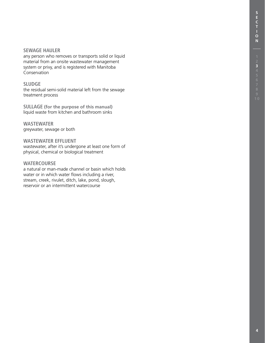#### **sewage hauler**

any person who removes or transports solid or liquid material from an onsite wastewater management system or privy, and is registered with Manitoba Conservation

#### **sludge**

the residual semi-solid material left from the sewage treatment process

**sullage (for the purpose of this manual)** liquid waste from kitchen and bathroom sinks

#### **wastewater** greywater, sewage or both

**wastewater effluent** wastewater, after it's undergone at least one form of physical, chemical or biological treatment

#### **watercourse**

a natural or man-made channel or basin which holds water or in which water flows including a river, stream, creek, rivulet, ditch, lake, pond, slough, reservoir or an intermittent watercourse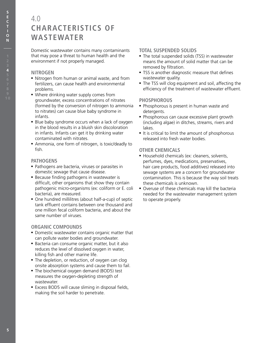### 4.0 **CHARACTERISTICS OF WASTEWATER**

Domestic wastewater contains many contaminants that may pose a threat to human health and the environment if not properly managed.

#### **NITROGEN**

- Nitrogen from human or animal waste, and from fertilizers, can cause health and environmental problems.
- Where drinking water supply comes from groundwater, excess concentrations of nitrates (formed by the conversion of nitrogen to ammonia to nitrates) can cause blue baby syndrome in infants.
- Blue baby syndrome occurs when a lack of oxygen in the blood results in a bluish skin discoloration in infants. Infants can get it by drinking water contaminated with nitrates.
- Ammonia, one form of nitrogen, is toxic/deadly to fish.

#### **PATHOGENS**

- Pathogens are bacteria, viruses or parasites in domestic sewage that cause disease.
- Because finding pathogens in wastewater is difficult, other organisms that show they contain pathogenic micro-organisms (ex: coliform or E. coli bacteria), are measured.
- One hundred millilitres (about half-a-cup) of septic tank effluent contains between one thousand and one million fecal coliform bacteria, and about the same number of viruses.

#### **ORGANIC COMPOUNDS**

- Domestic wastewater contains organic matter that can pollute water bodies and groundwater.
- Bacteria can consume organic matter, but it also reduces the level of dissolved oxygen in water, killing fish and other marine life.
- The depletion, or reduction, of oxygen can clog onsite absorption systems and cause them to fail.
- The biochemical oxygen demand (BOD5) test measures the oxygen-depleting strength of wastewater.
- Excess BOD5 will cause sliming in disposal fields, making the soil harder to penetrate.

#### **Total suspended solids**

- The total suspended solids (TSS) in wastewater means the amount of solid matter that can be removed by filtration.
- TSS is another diagnostic measure that defines wastewater quality.
- The TSS will clog equipment and soil, affecting the efficiency of the treatment of wastewater effluent.

#### **Phosphorous**

- Phosphorous is present in human waste and detergents.
- Phosphorous can cause excessive plant growth (including algae) in ditches, streams, rivers and lakes.
- It is critical to limit the amount of phosphorous released into fresh water bodies.

#### **Other chemicals**

- Household chemicals (ex: cleaners, solvents, perfumes, dyes, medications, preservatives, hair care products, food additives) released into sewage systems are a concern for groundwater contamination. This is because the way soil treats these chemicals is unknown.
- Overuse of these chemicals may kill the bacteria needed for the wastewater management system to operate properly.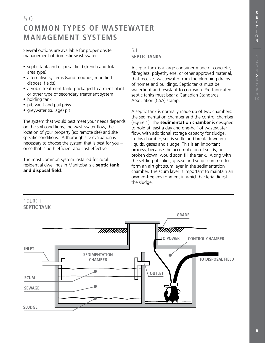### 5.0 **COMMON TYPES OF WASTEWATER MANAGEMENT SYSTEMS**

Several options are available for proper onsite management of domestic wastewater:

- septic tank and disposal field (trench and total area type)
- alternative systems (sand mounds, modified disposal fields)
- aerobic treatment tank, packaged treatment plant or other type of secondary treatment system
- holding tank
- pit, vault and pail privy
- greywater (sullage) pit

The system that would best meet your needs depends on the soil conditions, the wastewater flow, the location of your property (ex: remote site) and site specific conditions. A thorough site evaluation is necessary to choose the system that is best for you – once that is both efficient and cost-effective.

The most common system installed for rural residential dwellings in Manitoba is a **septic tank and disposal field**.

#### 5.1 **SEPTIC TANKS**

A septic tank is a large container made of concrete, fibreglass, polyethylene, or other approved material, that receives wastewater from the plumbing drains of homes and buildings. Septic tanks must be watertight and resistant to corrosion. Pre-fabricated septic tanks must bear a Canadian Standards Association (CSA) stamp.

A septic tank is normally made up of two chambers: the sedimentation chamber and the control chamber (Figure 1). The **sedimentation chamber** is designed to hold at least a day and one-half of wastewater flow, with additional storage capacity for sludge. In this chamber, solids settle and break down into liquids, gases and sludge. This is an important process, because the accumulation of solids, not broken down, would soon fill the tank. Along with the settling of solids, grease and soap scum rise to form an airtight scum layer in the sedimentation chamber. The scum layer is important to maintain an oxygen-free environment in which bacteria digest the sludge.

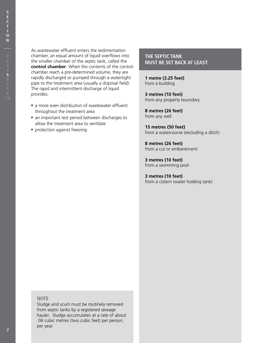As wastewater effluent enters the sedimentation chamber, an equal amount of liquid overflows into the smaller chamber of the septic tank, called the **control chamber**. When the contents of the control chamber reach a pre-determined volume, they are rapidly discharged or pumped through a watertight pipe to the treatment area (usually a disposal field). The rapid and intermittent discharge of liquid provides:

- a more even distribution of wastewater effluent throughout the treatment area
- an important rest period between discharges to allow the treatment area to ventilate
- protection against freezing

#### **THE SEPTIC TANK MUST BE SET BACK AT LEAST:**

**1 metre (3.25 feet)** from a building

**3 metres (10 feet)** from any property boundary

**8 metres (26 feet)** from any well

**15 metres (50 feet)** from a watercourse (excluding a ditch)

**8 metres (26 feet)** from a cut or embankment

**3 metres (10 feet)** from a swimming pool

**3 metres (10 feet)** from a cistern (water holding tank)

**N**

#### **Note**

Sludge and scum must be routinely removed from septic tanks by a registered sewage hauler. Sludge accumulates at a rate of about .06 cubic metres (two cubic feet) per person, per year.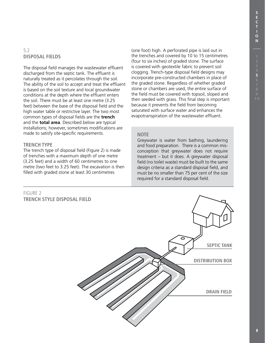**5**

**S**

#### 5.2 **DISPOSAL FIELDS**

The disposal field manages the wastewater effluent discharged from the septic tank. The effluent is naturally treated as it percolates through the soil. The ability of the soil to accept and treat the effluent is based on the soil texture and local groundwater conditions at the depth where the effluent enters the soil. There must be at least one metre (3.25 feet) between the base of the disposal field and the high water table or restrictive layer. The two most common types of disposal fields are the **trench**  and the **total area**. Described below are typical installations; however, sometimes modifications are made to satisfy site-specific requirements.

#### **TRENCH TYPE**

The trench type of disposal field (Figure 2) is made of trenches with a maximum depth of one metre (3.25 feet) and a width of 60 centimetres to one metre (two feet to 3.25 feet). The excavation is then filled with graded stone at least 30 centimetres

#### FIGURE 2 **TRENCH STYLE DISPOSAL FIELD**

(one foot) high. A perforated pipe is laid out in the trenches and covered by 10 to 15 centimetres (four to six inches) of graded stone. The surface is covered with geotextile fabric to prevent soil clogging. Trench-type disposal field designs may incorporate pre-constructed chambers in place of the graded stone. Regardless of whether graded stone or chambers are used, the entire surface of the field must be covered with topsoil, sloped and then seeded with grass. This final step is important because it prevents the field from becoming saturated with surface water and enhances the evapotranspiration of the wastewater effluent.

#### **NOTE**

Greywater is water from bathing, laundering and food preparation. There is a common misconception that greywater does not require treatment – but it does. A greywater disposal field (no toilet waste) must be built to the same design criteria as a standard disposal field, and must be no smaller than 75 per cent of the size required for a standard disposal field.

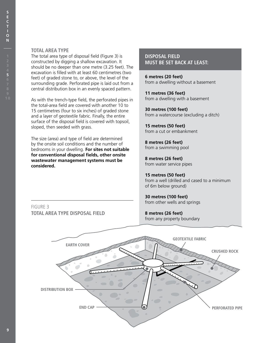#### **Total Area Type**

FIGURE 3

The total area type of disposal field (Figure 3) is constructed by digging a shallow excavation. It should be no deeper than one metre (3.25 feet). The excavation is filled with at least 60 centimetres (two feet) of graded stone to, or above, the level of the surrounding grade. Perforated pipe is laid out from a central distribution box in an evenly spaced pattern.

As with the trench-type field, the perforated pipes in the total-area field are covered with another 10 to 15 centimetres (four to six inches) of graded stone and a layer of geotextile fabric. Finally, the entire surface of the disposal field is covered with topsoil, sloped, then seeded with grass.

The size (area) and type of field are determined by the onsite soil conditions and the number of bedrooms in your dwelling. **For sites not suitable for conventional disposal fields, other onsite wastewater management systems must be considered.**

**TOTAL AREA TYPE DISPOSAL FIELD**

#### **DISPOSAL FIELD MUST BE SET BACK AT LEAST:**

**6 metres (20 feet)** from a dwelling without a basement

**11 metres (36 feet)** from a dwelling with a basement

**30 metres (100 feet)** from a watercourse (excluding a ditch)

**15 metres (50 feet)** from a cut or embankment

**8 metres (26 feet)** from a swimming pool

**8 metres (26 feet)** from water service pipes

**15 metres (50 feet)** from a well (drilled and cased to a minimum of 6m below ground)

**30 metres (100 feet)** from other wells and springs

**8 metres (26 feet)** from any property boundary

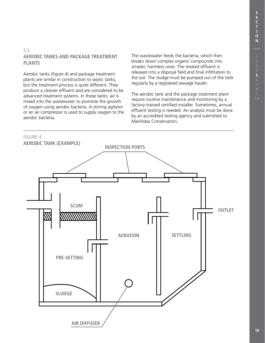**5**

**S**

#### 5.3 **Aerobic Tanks and Package Treatment Plants**

Aerobic tanks (figure 4) and package treatment plants are similar in construction to septic tanks, but the treatment process is quite different. They produce a cleaner effluent and are considered to be advanced treatment systems. In these tanks, air is mixed into the wastewater to promote the growth of oxygen-using aerobic bacteria. A stirring agitator or an air compressor is used to supply oxygen to the aerobic bacteria.

The wastewater feeds the bacteria, which then breaks down complex organic compounds into simpler, harmless ones. The treated effluent is released into a disposal field and final infiltration to the soil. The sludge must be pumped out of the tank regularly by a registered sewage hauler.

The aerobic tank and the package treatment plant require routine maintenance and monitoring by a factory-trained certified installer. Sometimes, annual effluent testing is needed. An analysis must be done by an accredited testing agency and submitted to Manitoba Conservation.

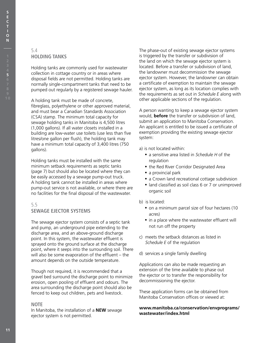**S E C**

#### 5.4 **Holding Tanks**

Holding tanks are commonly used for wastewater collection in cottage country or in areas where disposal fields are not permitted. Holding tanks are normally single-compartment tanks that need to be pumped out regularly by a registered sewage hauler.

A holding tank must be made of concrete, fibreglass, polyethylene or other approved material, and must bear a Canadian Standards Association (CSA) stamp. The minimum total capacity for sewage holding tanks in Manitoba is 4,500 litres (1,000 gallons). If all water closets installed in a building are low-water use toilets (use less than five litres/one gallon per flush), the holding tank may have a minimum total capacity of 3,400 litres (750 gallons).

Holding tanks must be installed with the same minimum setback requirements as septic tanks (page 7) but should also be located where they can be easily accessed by a sewage pump-out truck. A holding tank cannot be installed in areas where pump-out service is not available, or where there are no facilities for the final disposal of the wastewater.

#### 5.5 **Sewage Ejector Systems**

The sewage ejector system consists of a septic tank and pump, an underground pipe extending to the discharge area, and an above-ground discharge point. In this system, the wastewater effluent is sprayed onto the ground surface at the discharge point, where it seeps into the surrounding soil. There will also be some evaporation of the effluent – the amount depends on the outside temperature.

Though not required, it is recommended that a gravel bed surround the discharge point to minimize erosion, open pooling of effluent and odours. The area surrounding the discharge point should also be fenced to keep out children, pets and livestock.

#### **Note**

In Manitoba, the installation of a **NEW** sewage ejector system is not permitted.

The phase-out of existing sewage ejector systems is triggered by the transfer or subdivision of the land on which the sewage ejector system is located. Before a transfer or subdivision of land, the landowner must decommission the sewage ejector system. However, the landowner can obtain a certificate of exemption to maintain the sewage ejector system, as long as its location complies with the requirements as set out in *Schedule E* along with other applicable sections of the regulation.

A person wanting to keep a sewage ejector system would, **before** the transfer or subdivision of land, submit an application to Manitoba Conservation. An applicant is entitled to be issued a certificate of exemption providing the existing sewage ejector system:

a) is not located within:

- a sensitive area listed in *Schedule H* of the regulation
- the Red River Corridor Designated Area
- a provincial park
- a Crown land recreational cottage subdivision
- land classified as soil class 6 or 7 or unimproved organic soil
- b) is located:
	- on a minimum parcel size of four hectares (10 acres)
	- in a place where the wastewater effluent will not run off the property
- c) meets the setback distances as listed in *Schedule E* of the regulation
- d) services a single family dwelling

Applications can also be made requesting an extension of the time available to phase out the ejector or to transfer the responsibility for decommissioning the ejector.

These application forms can be obtained from Manitoba Conservation offices or viewed at:

#### **www.manitoba.ca/conservation/envprograms/ wastewater/index.html**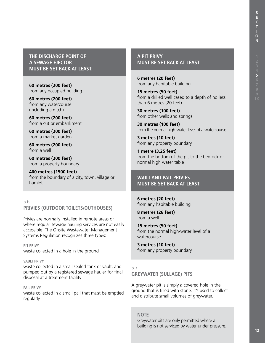**THE DISCHARGE POINT OF A SEWAGE EJECTOR MUST BE SET BACK AT LEAST:**

**60 metres (200 feet)** from any occupied building

**60 metres (200 feet)** from any watercourse (including a ditch)

**60 metres (200 feet)** from a cut or embankment

**60 metres (200 feet)** from a market garden

**60 metres (200 feet)** from a well

**60 metres (200 feet)** from a property boundary

**460 metres (1500 feet)** from the boundary of a city, town, village or hamlet

#### 5.6 **Privies (outdoor toilets/outhouses)**

Privies are normally installed in remote areas or where regular sewage hauling services are not easily accessible. The Onsite Wastewater Management Systems Regulation recognizes three types:

**Pit privy** waste collected in a hole in the ground

#### **Vault privy**

waste collected in a small sealed tank or vault, and pumped out by a registered sewage hauler for final disposal at a treatment facility

**Pail privy** waste collected in a small pail that must be emptied regularly

**A PIT PRIVY MUST BE SET BACK AT LEAST:**

**6 metres (20 feet)** from any habitable building

**15 metres (50 feet)** from a drilled well cased to a depth of no less than 6 metres (20 feet)

**30 metres (100 feet)** from other wells and springs

**30 metres (100 feet)** from the normal high-water level of a watercourse

**3 metres (10 feet)** from any property boundary

**1 metre (3.25 feet)** from the bottom of the pit to the bedrock or normal high water table

**VAULT AND PAIL PRIVIES MUST BE SET BACK AT LEAST:**

**6 metres (20 feet)** from any habitable building

**8 metres (26 feet)** from a well

**15 metres (50 feet)** from the normal high-water level of a watercourse

**3 metres (10 feet)** from any property boundary

5.7 **Greywater (Sullage) Pits**

A greywater pit is simply a covered hole in the ground that is filled with stone. It's used to collect and distribute small volumes of greywater.

**Note**

Greywater pits are only permitted where a building is not serviced by water under pressure.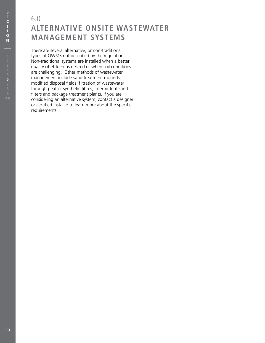### 6.0 **ALTERNATIVE ONSITE WASTEWATER MANAGEMENT SYSTEMS**

There are several alternative, or non-traditional types of OWMS not described by the regulation. Non-traditional systems are installed when a better quality of effluent is desired or when soil conditions are challenging. Other methods of wastewater management include sand treatment mounds, modified disposal fields, filtration of wastewater through peat or synthetic fibres, intermittent sand filters and package treatment plants. If you are considering an alternative system, contact a designer or certified installer to learn more about the specific requirements.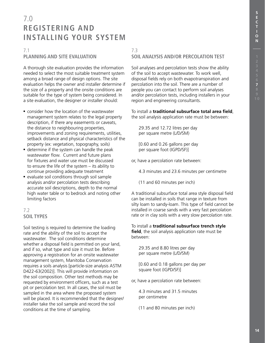### 7.0 **REGISTERING AND INSTALLING YOUR SYSTEM**

#### 7.1

#### **PLANNING AND SITE EVALUATION**

A thorough site evaluation provides the information needed to select the most suitable treatment system among a broad range of design options. The site evaluation helps the owner and installer determine if the size of a property and the onsite conditions are suitable for the type of system being considered. In a site evaluation, the designer or installer should:

- consider how the location of the wastewater management system relates to the legal property description, if there any easements or caveats, the distance to neighbouring properties, improvements and zoning requirements, utilities, setback distance and physical characteristics of the property (ex: vegetation, topography, soils)
- determine if the system can handle the peak wastewater flow. Current and future plans for fixtures and water use must be discussed to ensure the life of the system – its ability to continue providing adequate treatment
- evaluate soil conditions through soil sample analysis and/or percolation tests describing accurate soil descriptions, depth to the normal high water table or to bedrock and noting other limiting factors

#### 7.2 **SOIL TYPES**

Soil testing is required to determine the loading rate and the ability of the soil to accept the wastewater. The soil conditions determine whether a disposal field is permitted on your land, and if so, what type and size it must be. Before approving a registration for an onsite wastewater management system, Manitoba Conservation requires a soils analysis [particle-size analysis ASTM D422-63(2002)]. This will provide information on the soil composition. Other test methods may be requested by environment officers, such as a test pit or percolation test. In all cases, the soil must be sampled in the area where the proposed system will be placed. It is recommended that the designer/ installer take the soil sample and record the soil conditions at the time of sampling.

#### 7.3 **SOIL ANALYSIS AND/OR PERCOLATION TEST**

Soil analyses and percolation tests show the ability of the soil to accept wastewater. To work well, disposal fields rely on both evapotranspiration and percolation into the soil. There are a number of people you can contact to perform soil analyses and/or percolation tests, including installers in your region and engineering consultants.

To install a **traditional subsurface total area field**, the soil analysis application rate must be between:

29.35 and 12.72 litres per day per square metre (L/D/SM)

[0.60 and 0.26 gallons per day per square foot (IGPD/SF)]

or, have a percolation rate between:

4.3 minutes and 23.6 minutes per centimetre

(11 and 60 minutes per inch)

A traditional subsurface total area style disposal field can be installed in soils that range in texture from silty loam to sandy-loam. This type of field cannot be installed in coarse sands with a very fast percolation rate or in clay soils with a very slow percolation rate.

To install a **traditional subsurface trench style field**, the soil analysis application rate must be between:

29.35 and 8.80 litres per day per square metre (L/D/SM)

[0.60 and 0.18 gallons per day per square foot (IGPD/SF)]

or, have a percolation rate between:

4.3 minutes and 31.5 minutes per centimetre

(11 and 80 minutes per inch)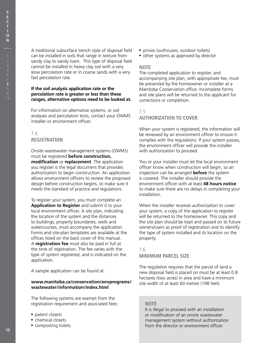**7**

**S E C**

> A traditional subsurface trench style of disposal field can be installed in soils that range in texture from sandy clay to sandy loam. This type of disposal field cannot be installed in heavy clay soil with a very slow percolation rate or in coarse sands with a very fast percolation rate.

#### **If the soil analysis application rate or the percolation rate is greater or less than these ranges, alternative options need to be looked at.**

For information on alternative systems, or soil analyses and percolation tests, contact your OWMS installer or environment officer.

### 7.4 **REGISTRATION**

Onsite wastewater management systems (OWMS) must be registered **before construction, modification** or **replacement**. The application you register is the legal document that provides authorization to begin construction. An application allows environment officers to review the proposed design before construction begins, to make sure it meets the standard of practice and regulations.

To register your system, you must complete an **Application to Register** and submit it to your local environment officer. A site plan, indicating the location of the system and the distances to buildings, property boundaries, wells and watercourses, must accompany the application. Forms and site-plan templates are available at the offices listed on the back cover of this manual. A **registration fee** must also be paid in full at the time of registration. The fee varies with the type of system registered, and is indicated on the application.

A sample application can be found at:

#### **www.manitoba.ca/conservation/envprograms/ wastewater/information/index.html**

The following systems are exempt from the registration requirement and associated fees:

- patent closets
- chemical closets
- composting toilets
- privies (outhouses, outdoor toilets)
- other systems as approved by director

#### **Note**

The completed application to register, and accompanying site plan, with appropriate fee, must be presented by the homeowner or installer at a Manitoba Conservation office. Incomplete forms and site plans will be returned to the applicant for corrections or completion.

#### 7.5 **Authorization to Cover**

When your system is registered, the information will be reviewed by an environment officer to ensure it complies with the regulations. If your system passes, the environment officer will provide the installer with authorization to proceed.

You or your installer must let the local environment officer know when construction will begin, so an inspection can be arranged **before** the system is covered. The installer should provide the environment officer with at least **48 hours notice** to make sure there are no delays in completing your installation.

When the installer receives authorization to cover your system, a copy of the application to register will be returned to the homeowner. This copy and the site plan should be kept and passed on to future owners/users as proof of registration and to identify the type of system installed and its location on the property.

7.6 **Minimum Parcel Size**

The regulation requires that the parcel of land a new disposal field is placed on must be at least 0.8 hectares (two acres) in area and have a minimum site width of at least 60 metres (198 feet).

#### **Note**

It is illegal to proceed with an installation or modification of an onsite wastewater management system without authorization from the director or environment officer.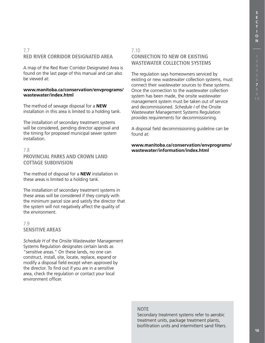#### 7.7 **Red River Corridor Designated Area**

A map of the Red River Corridor Designated Area is found on the last page of this manual and can also be viewed at:

#### **www.manitoba.ca/conservation/envprograms/ wastewater/index.html**

The method of sewage disposal for a **NEW** installation in this area is limited to a holding tank.

The installation of secondary treatment systems will be considered, pending director approval and the timing for proposed municipal sewer system installation.

#### 7.8 **Provincial Parks and Crown Land Cottage Subdivision**

The method of disposal for a **NEW** installation in these areas is limited to a holding tank.

The installation of secondary treatment systems in these areas will be considered if they comply with the minimum parcel size and satisfy the director that the system will not negatively affect the quality of the environment.

#### 7.9 **Sensitive Areas**

*Schedule H* of the Onsite Wastewater Management Systems Regulation designates certain lands as "sensitive areas." On these lands, no one can construct, install, site, locate, replace, expand or modify a disposal field except when approved by the director. To find out if you are in a sensitive area, check the regulation or contact your local environment officer.

#### 7.10 **Connection to New or Existing Wastewater Collection Systems**

The regulation says homeowners serviced by existing or new wastewater collection systems, must connect their wastewater sources to these systems. Once the connection to the wastewater collection system has been made, the onsite wastewater management system must be taken out of service and decommissioned. *Schedule I* of the Onsite Wastewater Management Systems Regulation provides requirements for decommissioning.

A disposal field decommissioning guideline can be found at:

**www.manitoba.ca/conservation/envprograms/ wastewater/information/index.html**

#### **Note**

Secondary treatment systems refer to aerobic treatment units, package treatment plants, biofiltration units and intermittent sand filters.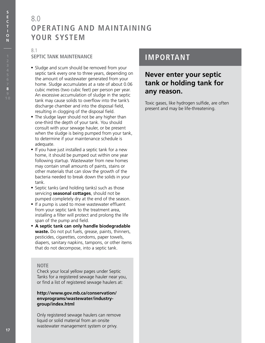### 8.0 **OPERATING AND MAINTAINING YOUR SYSTEM**

#### 8.1 **Septic Tank Maintenance**

- Sludge and scum should be removed from your septic tank every one to three years, depending on the amount of wastewater generated from your home. Sludge accumulates at a rate of about 0.06 cubic metres (two cubic feet) per person per year. An excessive accumulation of sludge in the septic tank may cause solids to overflow into the tank's discharge chamber and into the disposal field, resulting in clogging of the disposal field.
- The sludge layer should not be any higher than one-third the depth of your tank. You should consult with your sewage hauler, or be present when the sludge is being pumped from your tank, to determine if your maintenance schedule is adequate.
- If you have just installed a septic tank for a new home, it should be pumped out within one year following startup. Wastewater from new homes may contain small amounts of paints, stains or other materials that can slow the growth of the bacteria needed to break down the solids in your tank.
- Septic tanks (and holding tanks) such as those servicing **seasonal cottages**, should not be pumped completely dry at the end of the season.
- If a pump is used to move wastewater effluent from your septic tank to the treatment area, installing a filter will protect and prolong the life span of the pump and field.
- • **A septic tank can only handle biodegradable waste.** Do not put fuels, grease, paints, thinners, pesticides, cigarettes, condoms, paper towels, diapers, sanitary napkins, tampons, or other items that do not decompose, into a septic tank.

#### **Note**

Check your local yellow pages under Septic Tanks for a registered sewage hauler near you, or find a list of registered sewage haulers at:

#### **http://www.gov.mb.ca/conservation/ envprograms/wastewater/industrygroup/index.html**

Only registered sewage haulers can remove liquid or solid material from an onsite wastewater management system or privy.

### **IMPORTANT**

### **Never enter your septic tank or holding tank for any reason.**

Toxic gases, like hydrogen sulfide, are often present and may be life-threatening.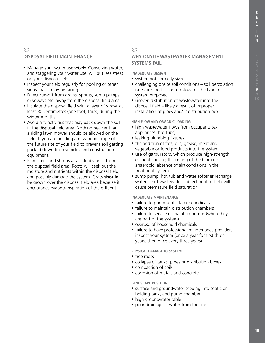**8**

#### 8.2 **Disposal Field Maintenance**

- Manage your water use wisely. Conserving water, and staggering your water use, will put less stress on your disposal field.
- Inspect your field regularly for pooling or other signs that it may be failing.
- Direct run-off from drains, spouts, sump pumps, driveways etc. away from the disposal field area.
- Insulate the disposal field with a layer of straw, at least 30 centimetres (one foot) thick, during the winter months.
- Avoid any activities that may pack down the soil in the disposal field area. Nothing heavier than a riding lawn mower should be allowed on the field. If you are building a new home, rope off the future site of your field to prevent soil getting packed down from vehicles and construction equipment.
- Plant trees and shrubs at a safe distance from the disposal field area. Roots will seek out the moisture and nutrients within the disposal field, and possibly damage the system. Grass **should** be grown over the disposal field area because it encourages evapotranspiration of the effluent.

#### 8.3

#### **Why Onsite Wastewater Management Systems Fail**

**Inadequate Design**

- system not correctly sized
- challenging onsite soil conditions soil percolation rates are too fast or too slow for the type of system proposed
- uneven distribution of wastewater into the disposal field – likely a result of improper installation of pipes and/or distribution box

#### **High Flow and Organic Loading**

- high wastewater flows from occupants (ex: appliances, hot tubs)
- leaking plumbing fixtures
- the addition of fats, oils, grease, meat and vegetable or food products into the system
- use of garburators, which produce high-strength effluent causing thickening of the biomat or anaerobic (absence of air) conditions in the treatment system
- sump pump, hot tub and water softener recharge water is not wastewater – directing it to field will cause premature field saturation

#### **Inadequate Maintenance**

- failure to pump septic tank periodically
- failure to maintain distribution chambers
- failure to service or maintain pumps (when they are part of the system)
- overuse of household chemicals
- failure to have professional maintenance providers inspect your system (once a year for first three years; then once every three years)

#### **Physical Damage to System**

- tree roots
- collapse of tanks, pipes or distribution boxes
- compaction of soils
- corrosion of metals and concrete

#### **Landscape Position**

- surface and groundwater seeping into septic or holding tank, and pump chamber
- high groundwater table
- poor drainage of water from the site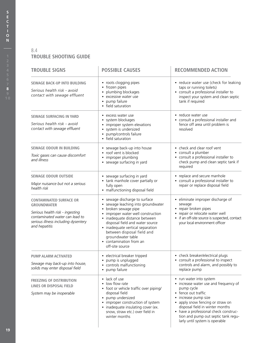#### 8.4 **TROUBLE SHOOTING GUIDE**

| <b>TROUBLE SIGNS</b>                                                                                                                                                              | <b>POSSIBLE CAUSES</b>                                                                                                                                                                                                                                                                                                                 | <b>RECOMMENDED ACTION</b>                                                                                                                                                                                                                                                                                            |  |
|-----------------------------------------------------------------------------------------------------------------------------------------------------------------------------------|----------------------------------------------------------------------------------------------------------------------------------------------------------------------------------------------------------------------------------------------------------------------------------------------------------------------------------------|----------------------------------------------------------------------------------------------------------------------------------------------------------------------------------------------------------------------------------------------------------------------------------------------------------------------|--|
| <b>SEWAGE BACK-UP INTO BUILDING</b><br>Serious health risk - avoid<br>contact with sewage effluent                                                                                | • roots clogging pipes<br>• frozen pipes<br>plumbing blockages<br>excessive water use<br>$\bullet$<br>• pump failure<br>• field saturation                                                                                                                                                                                             | • reduce water use (check for leaking<br>taps or running toilets)<br>• consult a professional installer to<br>inspect your system and clean septic<br>tank if required                                                                                                                                               |  |
| <b>SEWAGE SURFACING IN YARD</b><br>Serious health risk - avoid<br>contact with sewage effluent                                                                                    | • excess water use<br>• system blockages<br>• improper system elevations<br>• system is undersized<br>• pump/controls failure<br>• field saturation                                                                                                                                                                                    | • reduce water use<br>• consult a professional installer and<br>fence off area until problem is<br>resolved                                                                                                                                                                                                          |  |
| <b>SEWAGE ODOUR IN BUILDING</b><br>Toxic gases can cause discomfort<br>and illness                                                                                                | • sewage back-up into house<br>• roof vent is blocked<br>• improper plumbing<br>• sewage surfacing in yard                                                                                                                                                                                                                             | • check and clear roof vent<br>• consult a plumber<br>• consult a professional installer to<br>check pump and clean septic tank if<br>required                                                                                                                                                                       |  |
| <b>SEWAGE ODOUR OUTSIDE</b><br>Major nuisance but not a serious<br>health risk                                                                                                    | • sewage surfacing in yard<br>• tank manhole cover partially or<br>fully open<br>• malfunctioning disposal field                                                                                                                                                                                                                       | • replace and secure manhole<br>• consult a professional installer to<br>repair or replace disposal field                                                                                                                                                                                                            |  |
| <b>CONTAMINATED SURFACE OR</b><br><b>GROUNDWATER</b><br>Serious health risk - ingesting<br>contaminated water can lead to<br>serious illness including dysentery<br>and hepatitis | • sewage discharge to surface<br>• sewage leaching into groundwater<br>broken sewage pipe<br>improper water well construction<br>• inadequate distance between<br>disposal field and water source<br>• inadequate vertical separation<br>between disposal field and<br>groundwater table<br>• contamination from an<br>off-site source | · eliminate improper discharge of<br>sewage<br>• repair broken pipes<br>• repair or relocate water well<br>• if an off-site source is suspected, contact<br>your local environment officer                                                                                                                           |  |
| <b>PUMP ALARM ACTIVATED</b><br>Sewage may back-up into house,<br>solids may enter disposal field                                                                                  | • electrical breaker tripped<br>pump is unplugged<br>• controls malfunctioning<br>• pump failure                                                                                                                                                                                                                                       | • check breaker/electrical plugs<br>• consult a professional to inspect<br>controls and alarm, and possibly to<br>replace pump                                                                                                                                                                                       |  |
| <b>FREEZING OF DISTRIBUTION</b><br>LINES OR DISPOSAL FIELD<br>System may be inoperable                                                                                            | • lack of use<br>low flow rate<br>• foot or vehicle traffic over piping/<br>disposal field<br>• pump undersized<br>improper construction of system<br>• inadequate insulating cover (ex.<br>snow, straw etc.) over field in<br>winter months                                                                                           | • run water into system<br>• increase water use and frequency of<br>pump cycle<br>• fence out traffic<br>increase pump size<br>• apply snow fencing or straw on<br>disposal field in winter months<br>• have a professional check construc-<br>tion and pump out septic tank regu-<br>larly until system is operable |  |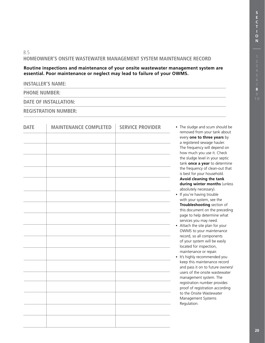#### 8.5 **Homeowner's Onsite Wastewater Management System Maintenance Record**

**Routine inspections and maintenance of your onsite wastewater management system are essential. Poor maintenance or neglect may lead to failure of your OWMS.**

#### **INSTALLER'S NAME:**

**PHONE NUMBER:**

#### **DATE OF INSTALLATION:**

**REGISTRATION NUMBER:**

| <b>DATE</b> | <b>MAINTENANCE COMPLETED</b> | <b>SERVICE PROVIDER</b> | • The sludge and scum should be<br>removed from your tank about  |
|-------------|------------------------------|-------------------------|------------------------------------------------------------------|
|             |                              |                         | every one to three years by                                      |
|             |                              |                         | a registered sewage hauler.<br>The frequency will depend on      |
|             |                              |                         | how much you use it. Check<br>the sludge level in your septic    |
|             |                              |                         | tank once a year to determine                                    |
|             |                              |                         | the frequency of clean-out that<br>is best for your household.   |
|             |                              |                         | Avoid cleaning the tank<br>during winter months (unless          |
|             |                              |                         | absolutely necessary).                                           |
|             |                              |                         | • If you're having trouble<br>with your system, see the          |
|             |                              |                         | Troubleshooting section of                                       |
|             |                              |                         | this document on the preceding<br>page to help determine what    |
|             |                              |                         | services you may need.<br>• Attach the site plan for your        |
|             |                              |                         | OWMS to your maintenance                                         |
|             |                              |                         | record, so all components<br>of your system will be easily       |
|             |                              |                         | located for inspection,                                          |
|             |                              |                         | maintenance or repair.<br>• It's highly recommended you          |
|             |                              |                         | keep this maintenance record<br>and pass it on to future owners/ |
|             |                              |                         | users of the onsite wastewater                                   |
|             |                              |                         | management system. The<br>registration number provides           |
|             |                              |                         | proof of registration according<br>to the Onsite Wastewater      |
|             |                              |                         | Management Systems                                               |
|             |                              |                         | Regulation.                                                      |
|             |                              |                         |                                                                  |
|             |                              |                         |                                                                  |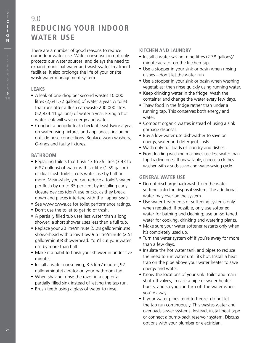### 9.0 **REDUCING YOUR INDOOR WATER USE**

There are a number of good reasons to reduce our indoor water use. Water conservation not only protects our water sources, and delays the need to expand municipal water and wastewater treatment facilities; it also prolongs the life of your onsite wastewater management system.

#### **Leaks**

- A leak of one drop per second wastes 10,000 litres (2,641.72 gallons) of water a year. A toilet that runs after a flush can waste 200,000 litres (52,834.41 gallons) of water a year. Fixing a hot water leak will save energy and water.
- Conduct a periodic leak check at least twice a year on water-using fixtures and appliances, including outside hose connections. Replace worn washers, O-rings and faulty fixtures.

#### **Bathroom**

- Replacing toilets that flush 13 to 26 litres (3.43 to 6.87 gallons) of water with six litre (1.59 gallon) or dual-flush toilets, cuts water use by half or more. Meanwhile, you can reduce a toilet's water per flush by up to 35 per cent by installing early closure devices (don't use bricks, as they break down and pieces interfere with the flapper seal).
- See www.cwwa.ca for toilet performance ratings.
- Don't use the toilet to get rid of trash.
- A partially filled tub uses less water than a long shower; a short shower uses less than a full tub.
- Replace your 20 litre/minute (5.28 gallon/minute) showerhead with a low-flow 9.5 litre/minute (2.51 gallon/minute) showerhead. You'll cut your water use by more than half.
- Make it a habit to finish your shower in under five minutes.
- Install a water-conserving, 3.5 litre/minute (.92 gallon/minute) aerator on your bathroom tap.
- When shaving, rinse the razor in a cup or a partially filled sink instead of letting the tap run.
- Brush teeth using a glass of water to rinse.

#### **Kitchen and Laundry**

- Install a water-saving, nine-litres (2.38 gallons)/ minute aerator on the kitchen tap.
- Use a stopper in your sink or basin when rinsing dishes – don't let the water run.
- Use a stopper in your sink or basin when washing vegetables; then rinse quickly using running water.
- Keep drinking water in the fridge. Wash the container and change the water every few days.
- Thaw food in the fridge rather than under a running tap. This conserves both energy and water.
- Compost organic wastes instead of using a sink garbage disposal.
- Buy a low-water use dishwasher to save on energy, water and detergent costs.
- Wash only full loads of laundry and dishes.
- Front-loading washing machines use less water than top-loading ones. If unavailable, choose a clothes washer with a suds saver and water-saving cycle.

#### **General Water Use**

- Do not discharge backwash from the water softener into the disposal system. The additional water may overtax the system.
- Use water treatments or softening systems only when required. If possible, only use softened water for bathing and cleaning; use un-softened water for cooking, drinking and watering plants.
- Make sure your water softener restarts only when it's completely used up.
- Turn the water system off if you're away for more than a few days.
- Insulate the hot water tank and pipes to reduce the need to run water until it's hot. Install a heat trap on the pipe above your water heater to save energy and water.
- Know the locations of your sink, toilet and main shut-off valves, in case a pipe or water heater bursts, and so you can turn off the water when you're away.
- If your water pipes tend to freeze, do not let the tap run continuously. This wastes water and overloads sewer systems. Instead, install heat tape or connect a pump-back reservoir system. Discuss options with your plumber or electrician.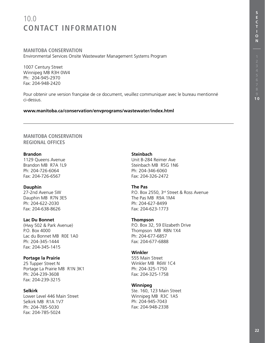## 10.0 **CONTACT INFORMATION**

#### **Manitoba Conservation** Environmental Services Onsite Wastewater Management Systems Program

1007 Century Street Winnipeg MB R3H 0W4 Ph: 204-945-2970 Fax: 204-948-2420

Pour obtenir une version française de ce document, veuillez communiquer avec le bureau mentionné ci-dessus.

#### **www.manitoba.ca/conservation/envprograms/wastewater/index.html**

#### **Manitoba Conservation Regional Offices**

#### **Brandon**

1129 Queens Avenue Brandon MB R7A 1L9 Ph: 204-726-6064 Fax: 204-726-6567

**Dauphin** 27-2nd Avenue SW Dauphin MB R7N 3E5 Ph: 204-622-2030 Fax: 204-638-8626

#### **Lac Du Bonnet**

(Hwy 502 & Park Avenue) P.O. Box 4000 Lac du Bonnet MB R0E 1A0 Ph: 204-345-1444 Fax: 204-345-1415

#### **Portage la Prairie**

25 Tupper Street N Portage La Prairie MB R1N 3K1 Ph: 204-239-3608 Fax: 204-239-3215

#### **Selkirk**

Lower Level 446 Main Street Selkirk MB R1A 1V7 Ph: 204-785-5030 Fax: 204-785-5024

#### **Steinbach**

Unit B-284 Reimer Ave Steinbach MB R5G 1N6 Ph: 204-346-6060 Fax: 204-326-2472

#### **The Pas**

P.O. Box 2550, 3rd Street & Ross Avenue The Pas MB R9A 1M4 Ph: 204-627-8499 Fax: 204-623-1773

#### **Thompson**

P.O. Box 32, 59 Elizabeth Drive Thompson MB R8N 1X4 Ph: 204-677-6857 Fax: 204-677-6888

#### **Winkler**

555 Main Street Winkler MB R6W 1C4 Ph: 204-325-1750 Fax: 204-325-1758

#### **Winnipeg**

Ste. 160, 123 Main Street Winnipeg MB R3C 1A5 Ph: 204-945-7043 Fax: 204-948-2338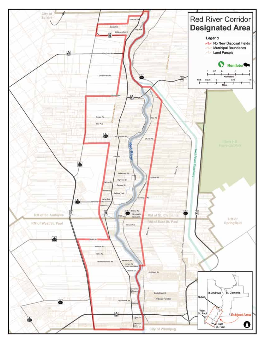